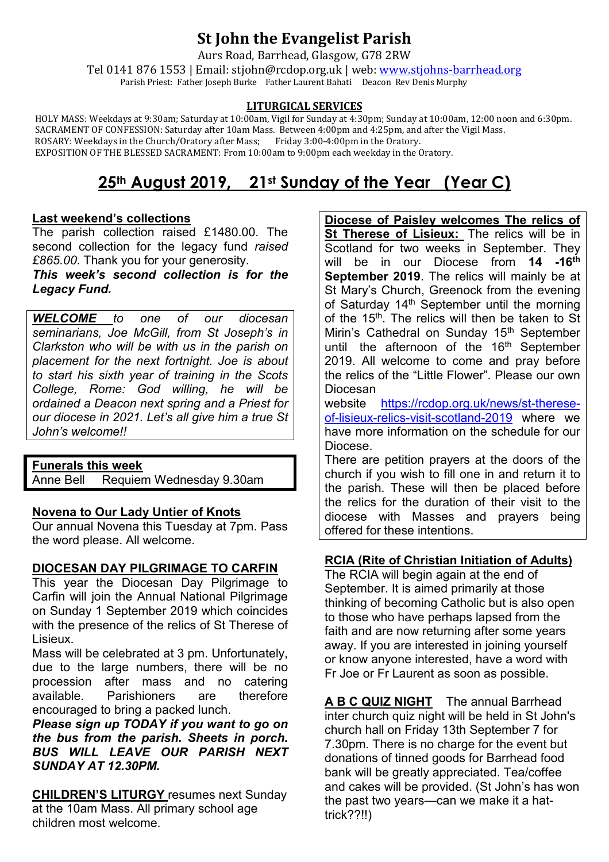## **St John the Evangelist Parish**

Aurs Road, Barrhead, Glasgow, G78 2RW

Tel 0141 876 1553 | Email: stjohn@rcdop.org.uk | web: [www.stjohns-barrhead.org](http://www.stjohns-barrhead.org/) Parish Priest: Father Joseph Burke Father Laurent Bahati Deacon Rev Denis Murphy

#### **LITURGICAL SERVICES**

 HOLY MASS: Weekdays at 9:30am; Saturday at 10:00am, Vigil for Sunday at 4:30pm; Sunday at 10:00am, 12:00 noon and 6:30pm. SACRAMENT OF CONFESSION: Saturday after 10am Mass. Between 4:00pm and 4:25pm, and after the Vigil Mass. ROSARY: Weekdays in the Church/Oratory after Mass; Friday 3:00-4:00pm in the Oratory. EXPOSITION OF THE BLESSED SACRAMENT: From 10:00am to 9:00pm each weekday in the Oratory.

# **25th August 2019, 21st Sunday of the Year (Year C)**

### **Last weekend's collections**

The parish collection raised £1480.00. The second collection for the legacy fund *raised £865.00*. Thank you for your generosity.

*This week's second collection is for the Legacy Fund.*

*WELCOME to one of our diocesan seminarians, Joe McGill, from St Joseph's in Clarkston who will be with us in the parish on placement for the next fortnight. Joe is about to start his sixth year of training in the Scots College, Rome: God willing, he will be ordained a Deacon next spring and a Priest for our diocese in 2021. Let's all give him a true St John's welcome!!*

# **Funerals this week**

Requiem Wednesday 9.30am

### **Novena to Our Lady Untier of Knots**

Our annual Novena this Tuesday at 7pm. Pass the word please. All welcome.

### **DIOCESAN DAY PILGRIMAGE TO CARFIN**

This year the Diocesan Day Pilgrimage to Carfin will join the Annual National Pilgrimage on Sunday 1 September 2019 which coincides with the presence of the relics of St Therese of Lisieux.

Mass will be celebrated at 3 pm. Unfortunately, due to the large numbers, there will be no procession after mass and no catering available. Parishioners are therefore encouraged to bring a packed lunch.

*Please sign up TODAY if you want to go on the bus from the parish. Sheets in porch. BUS WILL LEAVE OUR PARISH NEXT SUNDAY AT 12.30PM.*

**CHILDREN'S LITURGY** resumes next Sunday at the 10am Mass. All primary school age children most welcome.

**Diocese of Paisley welcomes The relics of St Therese of Lisieux:** The relics will be in Scotland for two weeks in September. They will be in our Diocese from **14 -16th September 2019**. The relics will mainly be at St Mary's Church, Greenock from the evening of Saturday 14<sup>th</sup> September until the morning of the 15<sup>th</sup>. The relics will then be taken to St Mirin's Cathedral on Sunday 15<sup>th</sup> September until the afternoon of the 16<sup>th</sup> September 2019. All welcome to come and pray before the relics of the "Little Flower". Please our own Diocesan

website [https://rcdop.org.uk/news/st-therese](https://rcdop.org.uk/news/st-therese-of-lisieux-relics-visit-scotland-2019)[of-lisieux-relics-visit-scotland-2019](https://rcdop.org.uk/news/st-therese-of-lisieux-relics-visit-scotland-2019) where we have more information on the schedule for our Diocese.

There are petition prayers at the doors of the church if you wish to fill one in and return it to the parish. These will then be placed before the relics for the duration of their visit to the diocese with Masses and prayers being offered for these intentions.

### **RCIA (Rite of Christian Initiation of Adults)**

The RCIA will begin again at the end of September. It is aimed primarily at those thinking of becoming Catholic but is also open to those who have perhaps lapsed from the faith and are now returning after some years away. If you are interested in joining yourself or know anyone interested, have a word with Fr Joe or Fr Laurent as soon as possible.

**A B C QUIZ NIGHT** The annual Barrhead inter church quiz night will be held in St John's church hall on Friday 13th September 7 for 7.30pm. There is no charge for the event but donations of tinned goods for Barrhead food bank will be greatly appreciated. Tea/coffee and cakes will be provided. (St John's has won the past two years—can we make it a hattrick??!!)